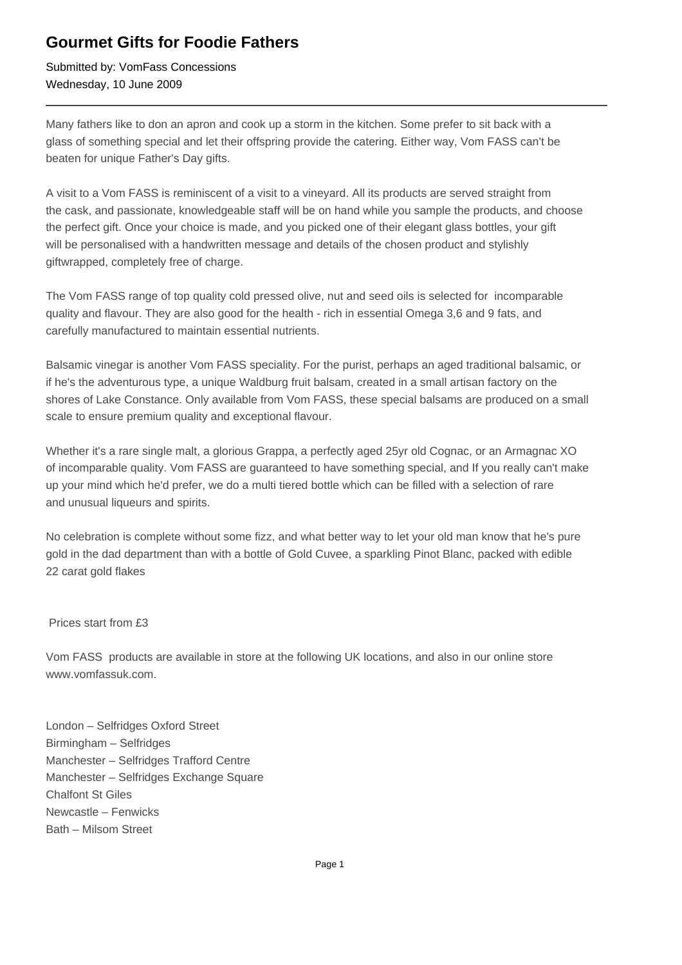## **Gourmet Gifts for Foodie Fathers**

Submitted by: VomFass Concessions Wednesday, 10 June 2009

Many fathers like to don an apron and cook up a storm in the kitchen. Some prefer to sit back with a glass of something special and let their offspring provide the catering. Either way, Vom FASS can't be beaten for unique Father's Day gifts.

A visit to a Vom FASS is reminiscent of a visit to a vineyard. All its products are served straight from the cask, and passionate, knowledgeable staff will be on hand while you sample the products, and choose the perfect gift. Once your choice is made, and you picked one of their elegant glass bottles, your gift will be personalised with a handwritten message and details of the chosen product and stylishly giftwrapped, completely free of charge.

The Vom FASS range of top quality cold pressed olive, nut and seed oils is selected for incomparable quality and flavour. They are also good for the health - rich in essential Omega 3,6 and 9 fats, and carefully manufactured to maintain essential nutrients.

Balsamic vinegar is another Vom FASS speciality. For the purist, perhaps an aged traditional balsamic, or if he's the adventurous type, a unique Waldburg fruit balsam, created in a small artisan factory on the shores of Lake Constance. Only available from Vom FASS, these special balsams are produced on a small scale to ensure premium quality and exceptional flavour.

Whether it's a rare single malt, a glorious Grappa, a perfectly aged 25yr old Cognac, or an Armagnac XO of incomparable quality. Vom FASS are guaranteed to have something special, and If you really can't make up your mind which he'd prefer, we do a multi tiered bottle which can be filled with a selection of rare and unusual liqueurs and spirits.

No celebration is complete without some fizz, and what better way to let your old man know that he's pure gold in the dad department than with a bottle of Gold Cuvee, a sparkling Pinot Blanc, packed with edible 22 carat gold flakes

## Prices start from £3

Vom FASS products are available in store at the following UK locations, and also in our online store www.vomfassuk.com.

London – Selfridges Oxford Street Birmingham – Selfridges Manchester – Selfridges Trafford Centre Manchester – Selfridges Exchange Square Chalfont St Giles Newcastle – Fenwicks Bath – Milsom Street